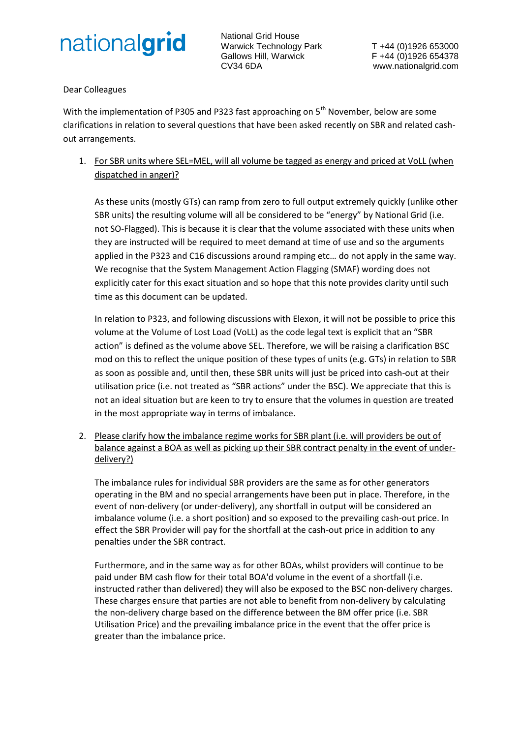

National Grid House Warwick Technology Park T +44 (0)1926 653000 Gallows Hill, Warwick F +44 (0)1926 654378 CV34 6DA www.nationalgrid.com

Dear Colleagues

With the implementation of P305 and P323 fast approaching on 5<sup>th</sup> November, below are some clarifications in relation to several questions that have been asked recently on SBR and related cashout arrangements.

1. For SBR units where SEL=MEL, will all volume be tagged as energy and priced at VoLL (when dispatched in anger)?

As these units (mostly GTs) can ramp from zero to full output extremely quickly (unlike other SBR units) the resulting volume will all be considered to be "energy" by National Grid (i.e. not SO-Flagged). This is because it is clear that the volume associated with these units when they are instructed will be required to meet demand at time of use and so the arguments applied in the P323 and C16 discussions around ramping etc… do not apply in the same way. We recognise that the System Management Action Flagging (SMAF) wording does not explicitly cater for this exact situation and so hope that this note provides clarity until such time as this document can be updated.

In relation to P323, and following discussions with Elexon, it will not be possible to price this volume at the Volume of Lost Load (VoLL) as the code legal text is explicit that an "SBR action" is defined as the volume above SEL. Therefore, we will be raising a clarification BSC mod on this to reflect the unique position of these types of units (e.g. GTs) in relation to SBR as soon as possible and, until then, these SBR units will just be priced into cash-out at their utilisation price (i.e. not treated as "SBR actions" under the BSC). We appreciate that this is not an ideal situation but are keen to try to ensure that the volumes in question are treated in the most appropriate way in terms of imbalance.

2. Please clarify how the imbalance regime works for SBR plant (i.e. will providers be out of balance against a BOA as well as picking up their SBR contract penalty in the event of underdelivery?)

The imbalance rules for individual SBR providers are the same as for other generators operating in the BM and no special arrangements have been put in place. Therefore, in the event of non-delivery (or under-delivery), any shortfall in output will be considered an imbalance volume (i.e. a short position) and so exposed to the prevailing cash-out price. In effect the SBR Provider will pay for the shortfall at the cash-out price in addition to any penalties under the SBR contract.

Furthermore, and in the same way as for other BOAs, whilst providers will continue to be paid under BM cash flow for their total BOA'd volume in the event of a shortfall (i.e. instructed rather than delivered) they will also be exposed to the BSC non-delivery charges. These charges ensure that parties are not able to benefit from non-delivery by calculating the non-delivery charge based on the difference between the BM offer price (i.e. SBR Utilisation Price) and the prevailing imbalance price in the event that the offer price is greater than the imbalance price.